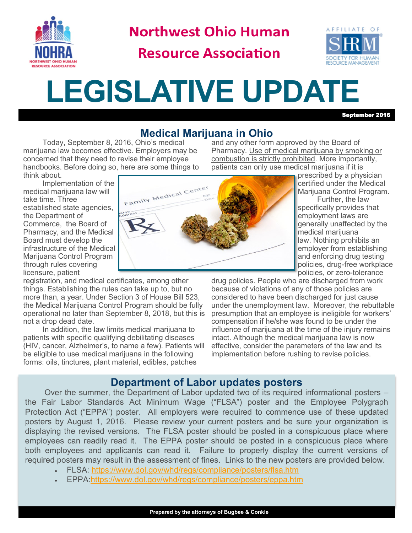

**Northwest Ohio Human** 

**Resource Association** 



## **LEGISLATIVE UPDATE**

September 2016

certified under the Medical Marijuana Control Program. Further, the law specifically provides that employment laws are generally unaffected by the

medical marijuana

law. Nothing prohibits an employer from establishing and enforcing drug testing

## **Medical Marijuana in Ohio**

Today, September 8, 2016, Ohio's medical marijuana law becomes effective. Employers may be concerned that they need to revise their employee handbooks. Before doing so, here are some things to think about.

and any other form approved by the Board of Pharmacy. Use of medical marijuana by smoking or combustion is strictly prohibited. More importantly, patients can only use medical marijuana if it is prescribed by a physician



registration, and medical certificates, among other things. Establishing the rules can take up to, but no more than, a year. Under Section 3 of House Bill 523, the Medical Marijuana Control Program should be fully operational no later than September 8, 2018, but this is not a drop dead date.

In addition, the law limits medical marijuana to patients with specific qualifying debilitating diseases (HIV, cancer, Alzheimer's, to name a few). Patients will be eligible to use medical marijuana in the following forms: oils, tinctures, plant material, edibles, patches



policies, drug-free workplace policies, or zero-tolerance drug policies. People who are discharged from work because of violations of any of those policies are considered to have been discharged for just cause under the unemployment law. Moreover, the rebuttable presumption that an employee is ineligible for workers' compensation if he/she was found to be under the influence of marijuana at the time of the injury remains intact. Although the medical marijuana law is now effective, consider the parameters of the law and its implementation before rushing to revise policies.

## **Department of Labor updates posters**

Over the summer, the Department of Labor updated two of its required informational posters – the Fair Labor Standards Act Minimum Wage ("FLSA") poster and the Employee Polygraph Protection Act ("EPPA") poster. All employers were required to commence use of these updated posters by August 1, 2016. Please review your current posters and be sure your organization is displaying the revised versions. The FLSA poster should be posted in a conspicuous place where employees can readily read it. The EPPA poster should be posted in a conspicuous place where both employees and applicants can read it. Failure to properly display the current versions of required posters may result in the assessment of fines. Links to the new posters are provided below.

- FLSA:<https://www.dol.gov/whd/regs/compliance/posters/flsa.htm>
- . EPPA:<https://www.dol.gov/whd/regs/compliance/posters/eppa.htm>